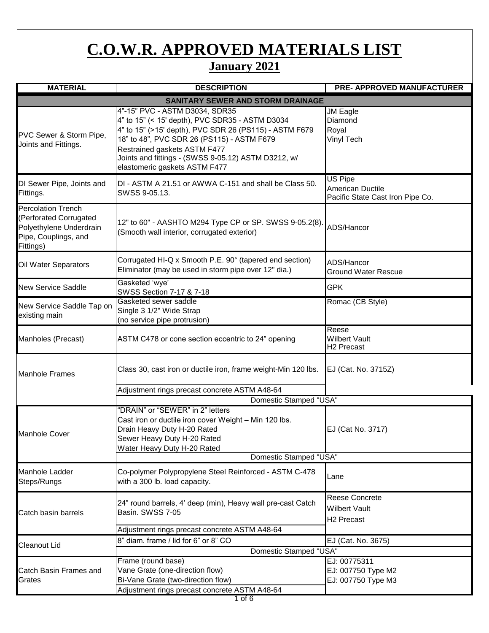## **C.O.W.R. APPROVED MATERIALS LIST**

## **January 2021**

| <b>MATERIAL</b>                                                                                                     | <b>DESCRIPTION</b>                                                                                                                                                                                                                                                                                                | <b>PRE- APPROVED MANUFACTURER</b>                                      |
|---------------------------------------------------------------------------------------------------------------------|-------------------------------------------------------------------------------------------------------------------------------------------------------------------------------------------------------------------------------------------------------------------------------------------------------------------|------------------------------------------------------------------------|
|                                                                                                                     | <b>SANITARY SEWER AND STORM DRAINAGE</b>                                                                                                                                                                                                                                                                          |                                                                        |
| PVC Sewer & Storm Pipe,<br>Joints and Fittings.                                                                     | 4"-15" PVC - ASTM D3034, SDR35<br>4" to 15" (< 15' depth), PVC SDR35 - ASTM D3034<br>4" to 15" (>15' depth), PVC SDR 26 (PS115) - ASTM F679<br>18" to 48", PVC SDR 26 (PS115) - ASTM F679<br>Restrained gaskets ASTM F477<br>Joints and fittings - (SWSS 9-05.12) ASTM D3212, w/<br>elastomeric gaskets ASTM F477 | JM Eagle<br>Diamond<br>Royal<br><b>Vinyl Tech</b>                      |
| DI Sewer Pipe, Joints and<br>Fittings.                                                                              | DI - ASTM A 21.51 or AWWA C-151 and shall be Class 50.<br>SWSS 9-05.13.                                                                                                                                                                                                                                           | <b>US Pipe</b><br>American Ductile<br>Pacific State Cast Iron Pipe Co. |
| <b>Percolation Trench</b><br>(Perforated Corrugated<br>Polyethylene Underdrain<br>Pipe, Couplings, and<br>Fittings) | 12" to 60" - AASHTO M294 Type CP or SP. SWSS 9-05.2(8)<br>(Smooth wall interior, corrugated exterior)                                                                                                                                                                                                             | ADS/Hancor                                                             |
| Oil Water Separators                                                                                                | Corrugated HI-Q x Smooth P.E. 90° (tapered end section)<br>Eliminator (may be used in storm pipe over 12" dia.)                                                                                                                                                                                                   | ADS/Hancor<br><b>Ground Water Rescue</b>                               |
| <b>New Service Saddle</b>                                                                                           | Gasketed 'wye'<br>SWSS Section 7-17 & 7-18                                                                                                                                                                                                                                                                        | <b>GPK</b>                                                             |
| New Service Saddle Tap on<br>existing main                                                                          | Gasketed sewer saddle<br>Single 3 1/2" Wide Strap<br>(no service pipe protrusion)                                                                                                                                                                                                                                 | Romac (CB Style)                                                       |
| Manholes (Precast)                                                                                                  | ASTM C478 or cone section eccentric to 24" opening                                                                                                                                                                                                                                                                | Reese<br><b>Wilbert Vault</b><br>H <sub>2</sub> Precast                |
| <b>Manhole Frames</b>                                                                                               | Class 30, cast iron or ductile iron, frame weight-Min 120 lbs.                                                                                                                                                                                                                                                    | EJ (Cat. No. 3715Z)                                                    |
|                                                                                                                     | Adjustment rings precast concrete ASTM A48-64                                                                                                                                                                                                                                                                     |                                                                        |
|                                                                                                                     | Domestic Stamped "USA"                                                                                                                                                                                                                                                                                            |                                                                        |
| <b>Manhole Cover</b>                                                                                                | "DRAIN" or "SEWER" in 2" letters<br>Cast iron or ductile iron cover Weight - Min 120 lbs.<br>Drain Heavy Duty H-20 Rated<br>Sewer Heavy Duty H-20 Rated<br>Water Heavy Duty H-20 Rated                                                                                                                            | EJ (Cat No. 3717)                                                      |
|                                                                                                                     | Domestic Stamped "USA"                                                                                                                                                                                                                                                                                            |                                                                        |
| Manhole Ladder<br>Steps/Rungs                                                                                       | Co-polymer Polypropylene Steel Reinforced - ASTM C-478<br>with a 300 lb. load capacity.                                                                                                                                                                                                                           | Lane                                                                   |
| Catch basin barrels                                                                                                 | 24" round barrels, 4' deep (min), Heavy wall pre-cast Catch<br>Basin. SWSS 7-05                                                                                                                                                                                                                                   | Reese Concrete<br><b>Wilbert Vault</b><br>H <sub>2</sub> Precast       |
|                                                                                                                     | Adjustment rings precast concrete ASTM A48-64<br>8" diam, frame / lid for 6" or 8" CO                                                                                                                                                                                                                             |                                                                        |
| Cleanout Lid                                                                                                        | Domestic Stamped "USA"                                                                                                                                                                                                                                                                                            | EJ (Cat. No. 3675)                                                     |
|                                                                                                                     | Frame (round base)                                                                                                                                                                                                                                                                                                | EJ: 00775311                                                           |
| Catch Basin Frames and<br>Grates                                                                                    | Vane Grate (one-direction flow)<br>Bi-Vane Grate (two-direction flow)<br>Adjustment rings precast concrete ASTM A48-64                                                                                                                                                                                            | EJ: 007750 Type M2<br>EJ: 007750 Type M3                               |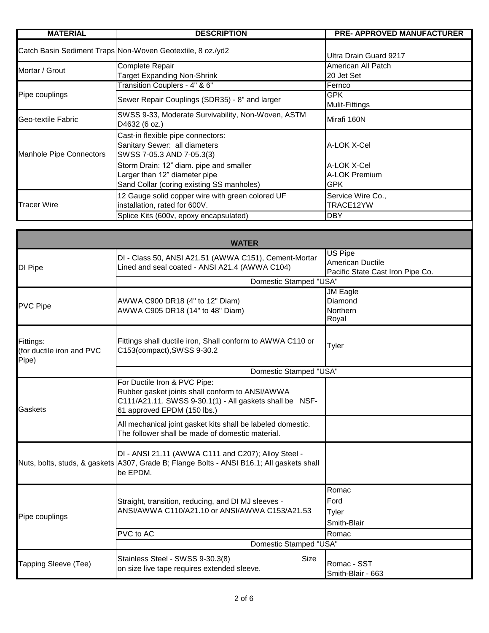| <b>MATERIAL</b>         | <b>DESCRIPTION</b>                                                                                                    | <b>PRE- APPROVED MANUFACTURER</b>   |
|-------------------------|-----------------------------------------------------------------------------------------------------------------------|-------------------------------------|
|                         | Catch Basin Sediment Traps Non-Woven Geotextile, 8 oz./yd2                                                            | Ultra Drain Guard 9217              |
| Mortar / Grout          | Complete Repair<br><b>Target Expanding Non-Shrink</b>                                                                 | American All Patch<br>20 Jet Set    |
|                         | Transition Couplers - 4" & 6"                                                                                         | Fernco                              |
| Pipe couplings          | Sewer Repair Couplings (SDR35) - 8" and larger                                                                        | <b>GPK</b><br>Mulit-Fittings        |
| Geo-textile Fabric      | SWSS 9-33, Moderate Survivability, Non-Woven, ASTM<br>D4632 (6 oz.)                                                   | Mirafi 160N                         |
| Manhole Pipe Connectors | Cast-in flexible pipe connectors:<br>Sanitary Sewer: all diameters<br>SWSS 7-05.3 AND 7-05.3(3)                       | A-LOK X-Cel                         |
|                         | Storm Drain: 12" diam. pipe and smaller<br>Larger than 12" diameter pipe<br>Sand Collar (coring existing SS manholes) | A-LOK X-Cel<br>A-LOK Premium<br>GPK |
| <b>Tracer Wire</b>      | 12 Gauge solid copper wire with green colored UF<br>installation, rated for 600V.                                     | Service Wire Co.,<br>TRACE12YW      |
|                         | Splice Kits (600v, epoxy encapsulated)                                                                                | <b>DBY</b>                          |

| <b>WATER</b>                                    |                                                                                                                                                                           |                                                                               |
|-------------------------------------------------|---------------------------------------------------------------------------------------------------------------------------------------------------------------------------|-------------------------------------------------------------------------------|
| <b>DI Pipe</b>                                  | DI - Class 50, ANSI A21.51 (AWWA C151), Cement-Mortar<br>Lined and seal coated - ANSI A21.4 (AWWA C104)                                                                   | <b>US Pipe</b><br><b>American Ductile</b><br>Pacific State Cast Iron Pipe Co. |
|                                                 | <b>Domestic Stamped "USA"</b>                                                                                                                                             |                                                                               |
| <b>PVC Pipe</b>                                 | AWWA C900 DR18 (4" to 12" Diam)<br>AWWA C905 DR18 (14" to 48" Diam)                                                                                                       | <b>JM Eagle</b><br>Diamond<br>Northern<br>Royal                               |
| Fittings:<br>(for ductile iron and PVC<br>Pipe) | Fittings shall ductile iron, Shall conform to AWWA C110 or<br>C153(compact), SWSS 9-30.2                                                                                  | Tyler                                                                         |
|                                                 | Domestic Stamped "USA"                                                                                                                                                    |                                                                               |
| Gaskets                                         | For Ductile Iron & PVC Pipe:<br>Rubber gasket joints shall conform to ANSI/AWWA<br>C111/A21.11. SWSS 9-30.1(1) - All gaskets shall be NSF-<br>61 approved EPDM (150 lbs.) |                                                                               |
|                                                 | All mechanical joint gasket kits shall be labeled domestic.<br>The follower shall be made of domestic material.                                                           |                                                                               |
|                                                 | DI - ANSI 21.11 (AWWA C111 and C207); Alloy Steel -<br>Nuts, bolts, studs, & gaskets A307, Grade B; Flange Bolts - ANSI B16.1; All gaskets shall<br>be EPDM.              |                                                                               |
| Pipe couplings                                  | Straight, transition, reducing, and DI MJ sleeves -<br>ANSI/AWWA C110/A21.10 or ANSI/AWWA C153/A21.53                                                                     | Romac<br>Ford<br>Tyler<br>Smith-Blair                                         |
|                                                 | PVC to AC                                                                                                                                                                 | Romac                                                                         |
|                                                 | Domestic Stamped "USA"                                                                                                                                                    |                                                                               |
| Tapping Sleeve (Tee)                            | Stainless Steel - SWSS 9-30.3(8)<br><b>Size</b><br>on size live tape requires extended sleeve.                                                                            | Romac - SST<br>Smith-Blair - 663                                              |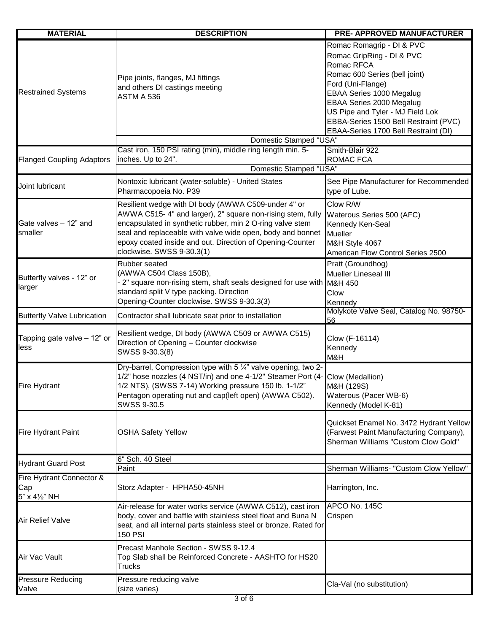| <b>MATERIAL</b>                    | <b>DESCRIPTION</b>                                                                                                         | <b>PRE- APPROVED MANUFACTURER</b>             |
|------------------------------------|----------------------------------------------------------------------------------------------------------------------------|-----------------------------------------------|
|                                    |                                                                                                                            | Romac Romagrip - DI & PVC                     |
| <b>Restrained Systems</b>          |                                                                                                                            | Romac GripRing - DI & PVC                     |
|                                    |                                                                                                                            | Romac RFCA                                    |
|                                    |                                                                                                                            | Romac 600 Series (bell joint)                 |
|                                    | Pipe joints, flanges, MJ fittings                                                                                          | Ford (Uni-Flange)                             |
|                                    | and others DI castings meeting                                                                                             | EBAA Series 1000 Megalug                      |
|                                    | ASTM A 536                                                                                                                 | EBAA Series 2000 Megalug                      |
|                                    |                                                                                                                            | US Pipe and Tyler - MJ Field Lok              |
|                                    |                                                                                                                            | EBBA-Series 1500 Bell Restraint (PVC)         |
|                                    |                                                                                                                            | EBAA-Series 1700 Bell Restraint (DI)          |
|                                    | Domestic Stamped "USA"                                                                                                     |                                               |
|                                    | Cast iron, 150 PSI rating (min), middle ring length min. 5-                                                                | Smith-Blair 922                               |
| <b>Flanged Coupling Adaptors</b>   | inches. Up to 24".                                                                                                         | <b>ROMAC FCA</b>                              |
|                                    | Domestic Stamped "USA"                                                                                                     |                                               |
|                                    | Nontoxic lubricant (water-soluble) - United States                                                                         | See Pipe Manufacturer for Recommended         |
| Joint lubricant                    | Pharmacopoeia No. P39                                                                                                      | type of Lube.                                 |
|                                    |                                                                                                                            |                                               |
|                                    | Resilient wedge with DI body (AWWA C509-under 4" or                                                                        | Clow R/W                                      |
|                                    | AWWA C515-4" and larger), 2" square non-rising stem, fully                                                                 | Waterous Series 500 (AFC)                     |
| Gate valves - 12" and              | encapsulated in synthetic rubber, min 2 O-ring valve stem                                                                  | Kennedy Ken-Seal                              |
| smaller                            | seal and replaceable with valve wide open, body and bonnet                                                                 | Mueller                                       |
|                                    | epoxy coated inside and out. Direction of Opening-Counter                                                                  | M&H Style 4067                                |
|                                    | clockwise. SWSS 9-30.3(1)                                                                                                  | American Flow Control Series 2500             |
|                                    | Rubber seated                                                                                                              | Pratt (Groundhog)                             |
| Butterfly valves - 12" or          | (AWWA C504 Class 150B),                                                                                                    | <b>Mueller Lineseal III</b>                   |
| larger                             | - 2" square non-rising stem, shaft seals designed for use with M&H 450                                                     |                                               |
|                                    | standard split V type packing. Direction                                                                                   | Clow                                          |
|                                    | Opening-Counter clockwise. SWSS 9-30.3(3)                                                                                  | Kennedy                                       |
| <b>Butterfly Valve Lubrication</b> | Contractor shall lubricate seat prior to installation                                                                      | Molykote Valve Seal, Catalog No. 98750-<br>56 |
|                                    |                                                                                                                            |                                               |
| Tapping gate valve - 12" or        | Resilient wedge, DI body (AWWA C509 or AWWA C515)                                                                          | Clow (F-16114)                                |
| less                               | Direction of Opening - Counter clockwise                                                                                   | Kennedy                                       |
|                                    | SWSS 9-30.3(8)                                                                                                             | M&H                                           |
|                                    | Dry-barrel, Compression type with 5 1/4" valve opening, two 2-                                                             |                                               |
|                                    | 1/2" hose nozzles (4 NST/in) and one 4-1/2" Steamer Port (4- Clow (Medallion)                                              |                                               |
| Fire Hydrant                       | 1/2 NTS), (SWSS 7-14) Working pressure 150 lb. 1-1/2"                                                                      | M&H (129S)                                    |
|                                    | Pentagon operating nut and cap(left open) (AWWA C502).                                                                     | Waterous (Pacer WB-6)                         |
|                                    | SWSS 9-30.5                                                                                                                | Kennedy (Model K-81)                          |
|                                    |                                                                                                                            |                                               |
|                                    |                                                                                                                            | Quickset Enamel No. 3472 Hydrant Yellow       |
| <b>Fire Hydrant Paint</b>          | <b>OSHA Safety Yellow</b>                                                                                                  | (Farwest Paint Manufacturing Company),        |
|                                    |                                                                                                                            | Sherman Williams "Custom Clow Gold"           |
|                                    |                                                                                                                            |                                               |
| <b>Hydrant Guard Post</b>          | 6" Sch. 40 Steel                                                                                                           |                                               |
| Fire Hydrant Connector &           | Paint                                                                                                                      | Sherman Williams- "Custom Clow Yellow"        |
|                                    |                                                                                                                            |                                               |
| Cap<br>5" x 41/2" NH               | Storz Adapter - HPHA50-45NH                                                                                                | Harrington, Inc.                              |
|                                    |                                                                                                                            | APCO No. 145C                                 |
| <b>Air Relief Valve</b>            | Air-release for water works service (AWWA C512), cast iron<br>body, cover and baffle with stainless steel float and Buna N |                                               |
|                                    | seat, and all internal parts stainless steel or bronze. Rated for                                                          | Crispen                                       |
|                                    | <b>150 PSI</b>                                                                                                             |                                               |
|                                    |                                                                                                                            |                                               |
|                                    | Precast Manhole Section - SWSS 9-12.4                                                                                      |                                               |
| Air Vac Vault                      | Top Slab shall be Reinforced Concrete - AASHTO for HS20                                                                    |                                               |
|                                    | <b>Trucks</b>                                                                                                              |                                               |
| <b>Pressure Reducing</b>           | Pressure reducing valve                                                                                                    |                                               |
| Valve                              | (size varies)                                                                                                              | Cla-Val (no substitution)                     |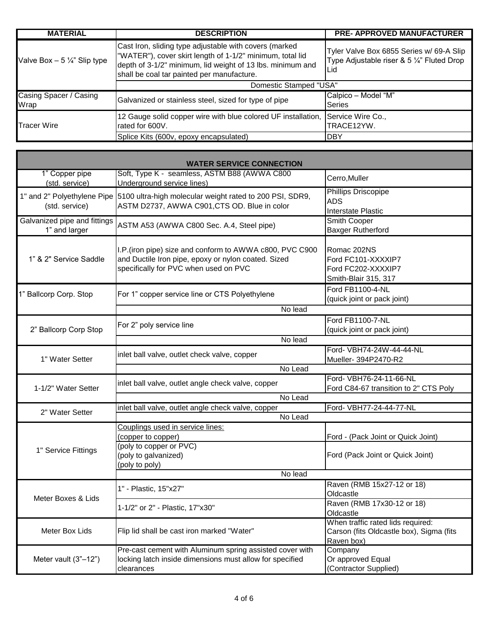| <b>MATERIAL</b>                       | <b>DESCRIPTION</b>                                                                                                                                                                                                              | <b>PRE- APPROVED MANUFACTURER</b>                                                                        |
|---------------------------------------|---------------------------------------------------------------------------------------------------------------------------------------------------------------------------------------------------------------------------------|----------------------------------------------------------------------------------------------------------|
| Valve Box $-5\frac{1}{4}$ " Slip type | Cast Iron, sliding type adjustable with covers (marked<br>"WATER"), cover skirt length of 1-1/2" minimum, total lid<br>depth of 3-1/2" minimum, lid weight of 13 lbs. minimum and<br>shall be coal tar painted per manufacture. | Tyler Valve Box 6855 Series w/ 69-A Slip<br>Type Adjustable riser & 5 $\frac{1}{4}$ " Fluted Drop<br>Lid |
|                                       | Domestic Stamped "USA"                                                                                                                                                                                                          |                                                                                                          |
| Casing Spacer / Casing                | Galvanized or stainless steel, sized for type of pipe                                                                                                                                                                           | Calpico - Model "M"                                                                                      |
| Wrap                                  |                                                                                                                                                                                                                                 | <b>Series</b>                                                                                            |
| <b>Tracer Wire</b>                    | 12 Gauge solid copper wire with blue colored UF installation,                                                                                                                                                                   | Service Wire Co.,                                                                                        |
|                                       | rated for 600V.                                                                                                                                                                                                                 | TRACE12YW.                                                                                               |
|                                       | Splice Kits (600v, epoxy encapsulated)                                                                                                                                                                                          | IDBY                                                                                                     |

| <b>WATER SERVICE CONNECTION</b>               |                                                                                                                                                          |                                                                                             |  |
|-----------------------------------------------|----------------------------------------------------------------------------------------------------------------------------------------------------------|---------------------------------------------------------------------------------------------|--|
| 1" Copper pipe<br>(std. service)              | Soft, Type K - seamless, ASTM B88 (AWWA C800<br>Underground service lines)                                                                               | Cerro, Muller                                                                               |  |
| 1" and 2" Polyethylene Pipe<br>(std. service) | 5100 ultra-high molecular weight rated to 200 PSI, SDR9,<br>ASTM D2737, AWWA C901, CTS OD. Blue in color                                                 | <b>Phillips Driscopipe</b><br><b>ADS</b><br>Interstate Plastic                              |  |
| Galvanized pipe and fittings<br>1" and larger | ASTM A53 (AWWA C800 Sec. A.4, Steel pipe)                                                                                                                | Smith Cooper<br>Baxger Rutherford                                                           |  |
| 1" & 2" Service Saddle                        | I.P. (iron pipe) size and conform to AWWA c800, PVC C900<br>and Ductile Iron pipe, epoxy or nylon coated. Sized<br>specifically for PVC when used on PVC | Romac 202NS<br>Ford FC101-XXXXIP7<br>Ford FC202-XXXXIP7<br>Smith-Blair 315, 317             |  |
| 1" Ballcorp Corp. Stop                        | For 1" copper service line or CTS Polyethylene                                                                                                           | Ford FB1100-4-NL<br>(quick joint or pack joint)                                             |  |
|                                               | No lead                                                                                                                                                  |                                                                                             |  |
| 2" Ballcorp Corp Stop                         | For 2" poly service line                                                                                                                                 | Ford FB1100-7-NL<br>(quick joint or pack joint)                                             |  |
|                                               | No lead                                                                                                                                                  |                                                                                             |  |
| 1" Water Setter                               | inlet ball valve, outlet check valve, copper                                                                                                             | Ford- VBH74-24W-44-44-NL<br>Mueller- 394P2470-R2                                            |  |
|                                               | No Lead                                                                                                                                                  |                                                                                             |  |
| 1-1/2" Water Setter                           | inlet ball valve, outlet angle check valve, copper                                                                                                       | Ford- VBH76-24-11-66-NL<br>Ford C84-67 transition to 2" CTS Poly                            |  |
|                                               | No Lead                                                                                                                                                  |                                                                                             |  |
| 2" Water Setter                               | inlet ball valve, outlet angle check valve, copper<br>Ford- VBH77-24-44-77-NL                                                                            |                                                                                             |  |
| No Lead                                       |                                                                                                                                                          |                                                                                             |  |
|                                               | Couplings used in service lines:<br>(copper to copper)                                                                                                   | Ford - (Pack Joint or Quick Joint)                                                          |  |
| 1" Service Fittings                           | (poly to copper or PVC)<br>(poly to galvanized)<br>(poly to poly)                                                                                        | Ford (Pack Joint or Quick Joint)                                                            |  |
|                                               | No lead                                                                                                                                                  |                                                                                             |  |
| Meter Boxes & Lids                            | 1" - Plastic, 15"x27"                                                                                                                                    | Raven (RMB 15x27-12 or 18)<br>Oldcastle                                                     |  |
|                                               | 1-1/2" or 2" - Plastic, 17"x30"                                                                                                                          | Raven (RMB 17x30-12 or 18)<br>Oldcastle                                                     |  |
| Meter Box Lids                                | Flip lid shall be cast iron marked "Water"                                                                                                               | When traffic rated lids required:<br>Carson (fits Oldcastle box), Sigma (fits<br>Raven box) |  |
| Meter vault (3"-12")                          | Pre-cast cement with Aluminum spring assisted cover with<br>locking latch inside dimensions must allow for specified<br>clearances                       | Company<br>Or approved Equal<br>(Contractor Supplied)                                       |  |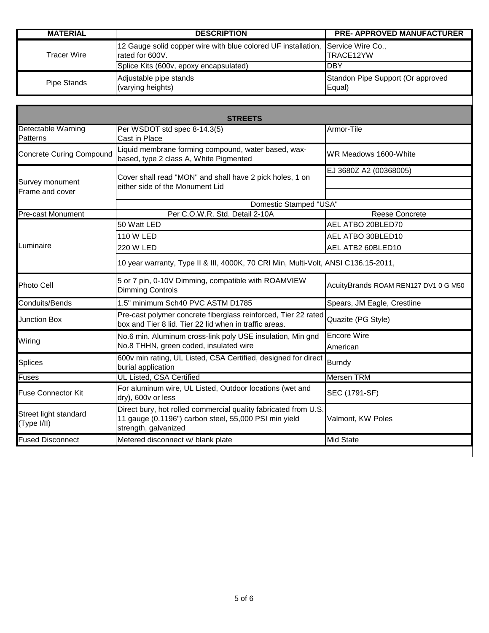| <b>MATERIAL</b> | <b>DESCRIPTION</b>                                            | <b>PRE- APPROVED MANUFACTURER</b>           |
|-----------------|---------------------------------------------------------------|---------------------------------------------|
| Tracer Wire     | 12 Gauge solid copper wire with blue colored UF installation, | Service Wire Co.,                           |
|                 | rated for 600V.                                               | ITRACE12YW                                  |
|                 | Splice Kits (600v, epoxy encapsulated)                        | IDBY                                        |
| Pipe Stands     | Adjustable pipe stands<br>(varying heights)                   | Standon Pipe Support (Or approved<br>Equal) |

| Detectable Warning<br>Per WSDOT std spec 8-14.3(5)<br>Patterns<br>Cast in Place<br>Liquid membrane forming compound, water based, wax-<br><b>Concrete Curing Compound</b><br>based, type 2 class A, White Pigmented | Armor-Tile<br>WR Meadows 1600-White<br>EJ 3680Z A2 (00368005)<br><b>Reese Concrete</b> |
|---------------------------------------------------------------------------------------------------------------------------------------------------------------------------------------------------------------------|----------------------------------------------------------------------------------------|
|                                                                                                                                                                                                                     |                                                                                        |
|                                                                                                                                                                                                                     |                                                                                        |
| Cover shall read "MON" and shall have 2 pick holes, 1 on<br>Survey monument<br>either side of the Monument Lid<br>Frame and cover                                                                                   |                                                                                        |
| <b>Domestic Stamped "USA"</b>                                                                                                                                                                                       |                                                                                        |
| Per C.O.W.R. Std. Detail 2-10A<br><b>Pre-cast Monument</b>                                                                                                                                                          |                                                                                        |
| 50 Watt LED                                                                                                                                                                                                         | AEL ATBO 20BLED70                                                                      |
| 110 W LED                                                                                                                                                                                                           | AEL ATBO 30BLED10                                                                      |
| Luminaire<br>220 W LED                                                                                                                                                                                              | AEL ATB2 60BLED10                                                                      |
| 10 year warranty, Type II & III, 4000K, 70 CRI Min, Multi-Volt, ANSI C136.15-2011,                                                                                                                                  |                                                                                        |
| 5 or 7 pin, 0-10V Dimming, compatible with ROAMVIEW<br>Photo Cell<br><b>Dimming Controls</b>                                                                                                                        | AcuityBrands ROAM REN127 DV1 0 G M50                                                   |
| 1.5" minimum Sch40 PVC ASTM D1785<br>Conduits/Bends                                                                                                                                                                 | Spears, JM Eagle, Crestline                                                            |
| Pre-cast polymer concrete fiberglass reinforced, Tier 22 rated<br><b>Junction Box</b><br>box and Tier 8 lid. Tier 22 lid when in traffic areas.                                                                     | Quazite (PG Style)                                                                     |
| No.6 min. Aluminum cross-link poly USE insulation, Min gnd                                                                                                                                                          | <b>Encore Wire</b>                                                                     |
| Wiring<br>No.8 THHN, green coded, insulated wire                                                                                                                                                                    | American                                                                               |
| 600v min rating, UL Listed, CSA Certified, designed for direct<br><b>Splices</b><br>burial application                                                                                                              | <b>Burndy</b>                                                                          |
| UL Listed, CSA Certified<br><b>Fuses</b>                                                                                                                                                                            | <b>Mersen TRM</b>                                                                      |
| For aluminum wire, UL Listed, Outdoor locations (wet and<br><b>Fuse Connector Kit</b><br>dry), 600v or less                                                                                                         | SEC (1791-SF)                                                                          |
| Direct bury, hot rolled commercial quality fabricated from U.S.<br>Street light standard<br>11 gauge (0.1196") carbon steel, 55,000 PSI min yield<br>(Type I/II)<br>strength, galvanized                            | Valmont, KW Poles                                                                      |
| <b>Fused Disconnect</b><br>Metered disconnect w/ blank plate                                                                                                                                                        | <b>Mid State</b>                                                                       |